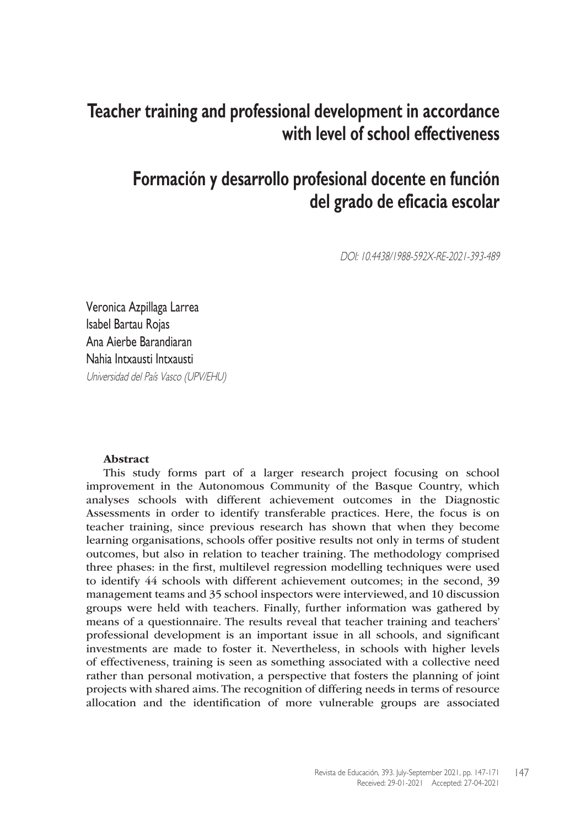# **Teacher training and professional development in accordance with level of school effectiveness**

# **Formación y desarrollo profesional docente en función del grado de eficacia escolar**

DOI: 10.4438/1988-592X-RE-2021-393-489

Veronica Azpillaga Larrea Isabel Bartau Rojas Ana Aierbe Barandiaran Nahia Intxausti Intxausti Universidad del País Vasco (UPV/EHU)

#### Abstract

This study forms part of a larger research project focusing on school improvement in the Autonomous Community of the Basque Country, which analyses schools with different achievement outcomes in the Diagnostic Assessments in order to identify transferable practices. Here, the focus is on teacher training, since previous research has shown that when they become learning organisations, schools offer positive results not only in terms of student outcomes, but also in relation to teacher training. The methodology comprised three phases: in the first, multilevel regression modelling techniques were used to identify 44 schools with different achievement outcomes; in the second, 39 management teams and 35 school inspectors were interviewed, and 10 discussion groups were held with teachers. Finally, further information was gathered by means of a questionnaire. The results reveal that teacher training and teachers' professional development is an important issue in all schools, and significant investments are made to foster it. Nevertheless, in schools with higher levels of effectiveness, training is seen as something associated with a collective need rather than personal motivation, a perspective that fosters the planning of joint projects with shared aims. The recognition of differing needs in terms of resource allocation and the identification of more vulnerable groups are associated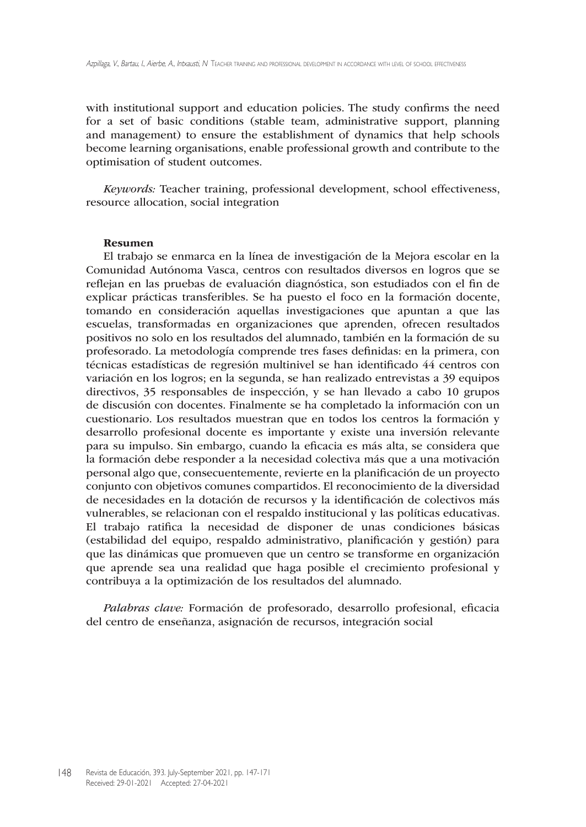with institutional support and education policies. The study confirms the need for a set of basic conditions (stable team, administrative support, planning and management) to ensure the establishment of dynamics that help schools become learning organisations, enable professional growth and contribute to the optimisation of student outcomes.

*Keywords:* Teacher training, professional development, school effectiveness, resource allocation, social integration

#### Resumen

El trabajo se enmarca en la línea de investigación de la Mejora escolar en la Comunidad Autónoma Vasca, centros con resultados diversos en logros que se reflejan en las pruebas de evaluación diagnóstica, son estudiados con el fin de explicar prácticas transferibles. Se ha puesto el foco en la formación docente, tomando en consideración aquellas investigaciones que apuntan a que las escuelas, transformadas en organizaciones que aprenden, ofrecen resultados positivos no solo en los resultados del alumnado, también en la formación de su profesorado. La metodología comprende tres fases definidas: en la primera, con técnicas estadísticas de regresión multinivel se han identificado 44 centros con variación en los logros; en la segunda, se han realizado entrevistas a 39 equipos directivos, 35 responsables de inspección, y se han llevado a cabo 10 grupos de discusión con docentes. Finalmente se ha completado la información con un cuestionario. Los resultados muestran que en todos los centros la formación y desarrollo profesional docente es importante y existe una inversión relevante para su impulso. Sin embargo, cuando la eficacia es más alta, se considera que la formación debe responder a la necesidad colectiva más que a una motivación personal algo que, consecuentemente, revierte en la planificación de un proyecto conjunto con objetivos comunes compartidos. El reconocimiento de la diversidad de necesidades en la dotación de recursos y la identificación de colectivos más vulnerables, se relacionan con el respaldo institucional y las políticas educativas. El trabajo ratifica la necesidad de disponer de unas condiciones básicas (estabilidad del equipo, respaldo administrativo, planificación y gestión) para que las dinámicas que promueven que un centro se transforme en organización que aprende sea una realidad que haga posible el crecimiento profesional y contribuya a la optimización de los resultados del alumnado.

*Palabras clave:* Formación de profesorado, desarrollo profesional, eficacia del centro de enseñanza, asignación de recursos, integración social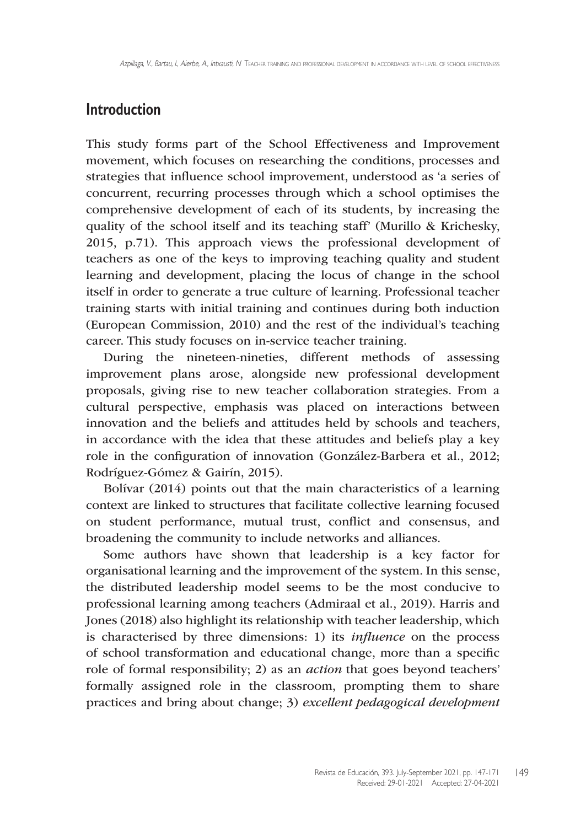### **Introduction**

This study forms part of the School Effectiveness and Improvement movement, which focuses on researching the conditions, processes and strategies that influence school improvement, understood as 'a series of concurrent, recurring processes through which a school optimises the comprehensive development of each of its students, by increasing the quality of the school itself and its teaching staff' (Murillo & Krichesky, 2015, p.71). This approach views the professional development of teachers as one of the keys to improving teaching quality and student learning and development, placing the locus of change in the school itself in order to generate a true culture of learning. Professional teacher training starts with initial training and continues during both induction (European Commission, 2010) and the rest of the individual's teaching career. This study focuses on in-service teacher training.

During the nineteen-nineties, different methods of assessing improvement plans arose, alongside new professional development proposals, giving rise to new teacher collaboration strategies. From a cultural perspective, emphasis was placed on interactions between innovation and the beliefs and attitudes held by schools and teachers, in accordance with the idea that these attitudes and beliefs play a key role in the configuration of innovation (González-Barbera et al., 2012; Rodríguez-Gómez & Gairín, 2015).

Bolívar (2014) points out that the main characteristics of a learning context are linked to structures that facilitate collective learning focused on student performance, mutual trust, conflict and consensus, and broadening the community to include networks and alliances.

Some authors have shown that leadership is a key factor for organisational learning and the improvement of the system. In this sense, the distributed leadership model seems to be the most conducive to professional learning among teachers (Admiraal et al., 2019). Harris and Jones (2018) also highlight its relationship with teacher leadership, which is characterised by three dimensions: 1) its *influence* on the process of school transformation and educational change, more than a specific role of formal responsibility; 2) as an *action* that goes beyond teachers' formally assigned role in the classroom, prompting them to share practices and bring about change; 3) *excellent pedagogical development*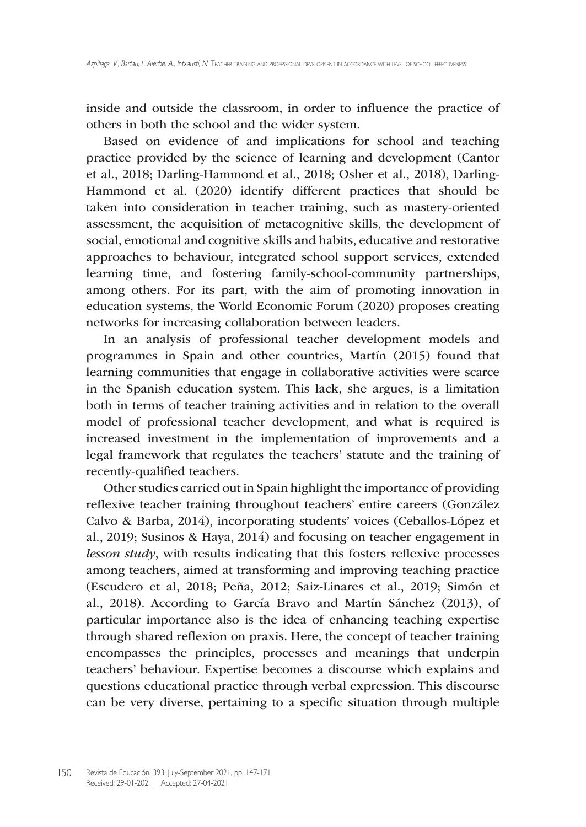inside and outside the classroom, in order to influence the practice of others in both the school and the wider system.

Based on evidence of and implications for school and teaching practice provided by the science of learning and development (Cantor et al., 2018; Darling-Hammond et al., 2018; Osher et al., 2018), Darling-Hammond et al. (2020) identify different practices that should be taken into consideration in teacher training, such as mastery-oriented assessment, the acquisition of metacognitive skills, the development of social, emotional and cognitive skills and habits, educative and restorative approaches to behaviour, integrated school support services, extended learning time, and fostering family-school-community partnerships, among others. For its part, with the aim of promoting innovation in education systems, the World Economic Forum (2020) proposes creating networks for increasing collaboration between leaders.

In an analysis of professional teacher development models and programmes in Spain and other countries, Martín (2015) found that learning communities that engage in collaborative activities were scarce in the Spanish education system. This lack, she argues, is a limitation both in terms of teacher training activities and in relation to the overall model of professional teacher development, and what is required is increased investment in the implementation of improvements and a legal framework that regulates the teachers' statute and the training of recently-qualified teachers.

Other studies carried out in Spain highlight the importance of providing reflexive teacher training throughout teachers' entire careers (González Calvo & Barba, 2014), incorporating students' voices (Ceballos-López et al., 2019; Susinos & Haya, 2014) and focusing on teacher engagement in *lesson study*, with results indicating that this fosters reflexive processes among teachers, aimed at transforming and improving teaching practice (Escudero et al, 2018; Peña, 2012; Saiz-Linares et al., 2019; Simón et al., 2018). According to García Bravo and Martín Sánchez (2013), of particular importance also is the idea of enhancing teaching expertise through shared reflexion on praxis. Here, the concept of teacher training encompasses the principles, processes and meanings that underpin teachers' behaviour. Expertise becomes a discourse which explains and questions educational practice through verbal expression. This discourse can be very diverse, pertaining to a specific situation through multiple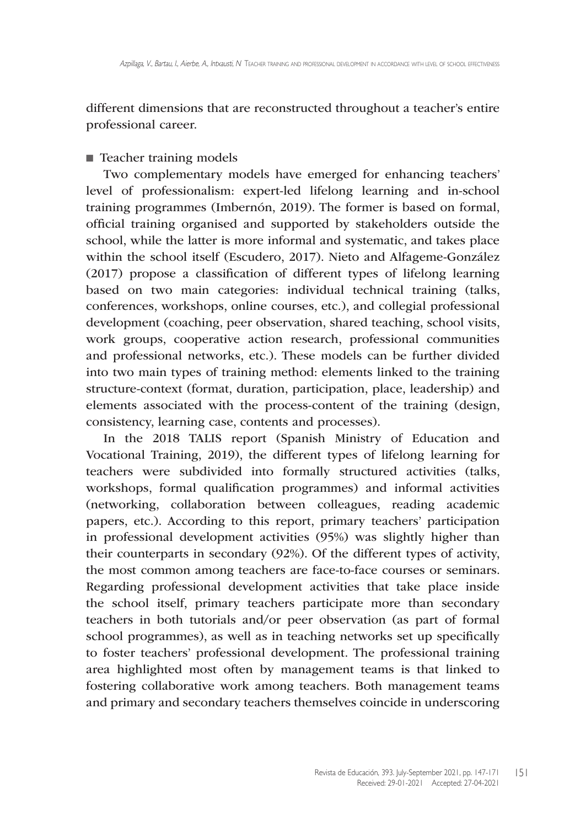different dimensions that are reconstructed throughout a teacher's entire professional career.

#### ■ Teacher training models

Two complementary models have emerged for enhancing teachers' level of professionalism: expert-led lifelong learning and in-school training programmes (Imbernón, 2019). The former is based on formal, official training organised and supported by stakeholders outside the school, while the latter is more informal and systematic, and takes place within the school itself (Escudero, 2017). Nieto and Alfageme-González (2017) propose a classification of different types of lifelong learning based on two main categories: individual technical training (talks, conferences, workshops, online courses, etc.), and collegial professional development (coaching, peer observation, shared teaching, school visits, work groups, cooperative action research, professional communities and professional networks, etc.). These models can be further divided into two main types of training method: elements linked to the training structure-context (format, duration, participation, place, leadership) and elements associated with the process-content of the training (design, consistency, learning case, contents and processes).

In the 2018 TALIS report (Spanish Ministry of Education and Vocational Training, 2019), the different types of lifelong learning for teachers were subdivided into formally structured activities (talks, workshops, formal qualification programmes) and informal activities (networking, collaboration between colleagues, reading academic papers, etc.). According to this report, primary teachers' participation in professional development activities (95%) was slightly higher than their counterparts in secondary (92%). Of the different types of activity, the most common among teachers are face-to-face courses or seminars. Regarding professional development activities that take place inside the school itself, primary teachers participate more than secondary teachers in both tutorials and/or peer observation (as part of formal school programmes), as well as in teaching networks set up specifically to foster teachers' professional development. The professional training area highlighted most often by management teams is that linked to fostering collaborative work among teachers. Both management teams and primary and secondary teachers themselves coincide in underscoring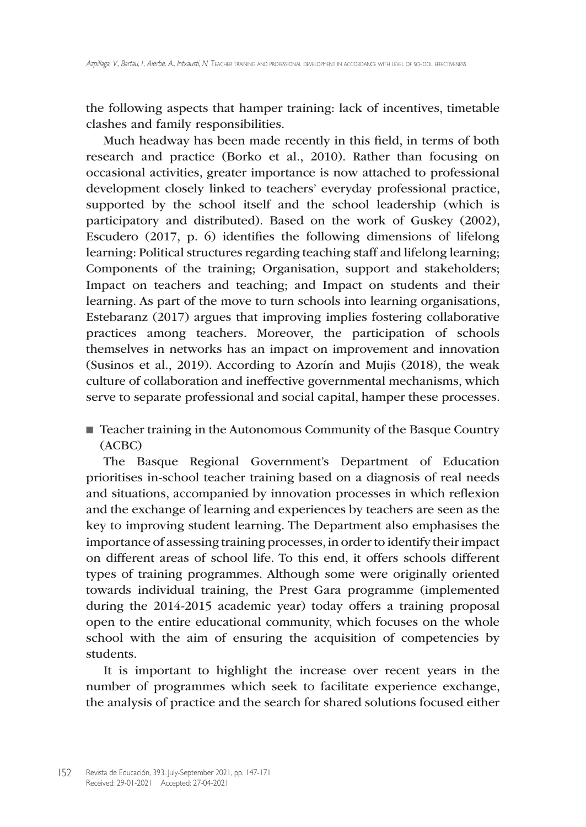the following aspects that hamper training: lack of incentives, timetable clashes and family responsibilities.

Much headway has been made recently in this field, in terms of both research and practice (Borko et al., 2010). Rather than focusing on occasional activities, greater importance is now attached to professional development closely linked to teachers' everyday professional practice, supported by the school itself and the school leadership (which is participatory and distributed). Based on the work of Guskey (2002), Escudero (2017, p. 6) identifies the following dimensions of lifelong learning: Political structures regarding teaching staff and lifelong learning; Components of the training; Organisation, support and stakeholders; Impact on teachers and teaching; and Impact on students and their learning. As part of the move to turn schools into learning organisations, Estebaranz (2017) argues that improving implies fostering collaborative practices among teachers. Moreover, the participation of schools themselves in networks has an impact on improvement and innovation (Susinos et al., 2019). According to Azorín and Mujis (2018), the weak culture of collaboration and ineffective governmental mechanisms, which serve to separate professional and social capital, hamper these processes.

■ Teacher training in the Autonomous Community of the Basque Country (ACBC)

The Basque Regional Government's Department of Education prioritises in-school teacher training based on a diagnosis of real needs and situations, accompanied by innovation processes in which reflexion and the exchange of learning and experiences by teachers are seen as the key to improving student learning. The Department also emphasises the importance of assessing training processes, in order to identify their impact on different areas of school life. To this end, it offers schools different types of training programmes. Although some were originally oriented towards individual training, the Prest Gara programme (implemented during the 2014-2015 academic year) today offers a training proposal open to the entire educational community, which focuses on the whole school with the aim of ensuring the acquisition of competencies by students.

It is important to highlight the increase over recent years in the number of programmes which seek to facilitate experience exchange, the analysis of practice and the search for shared solutions focused either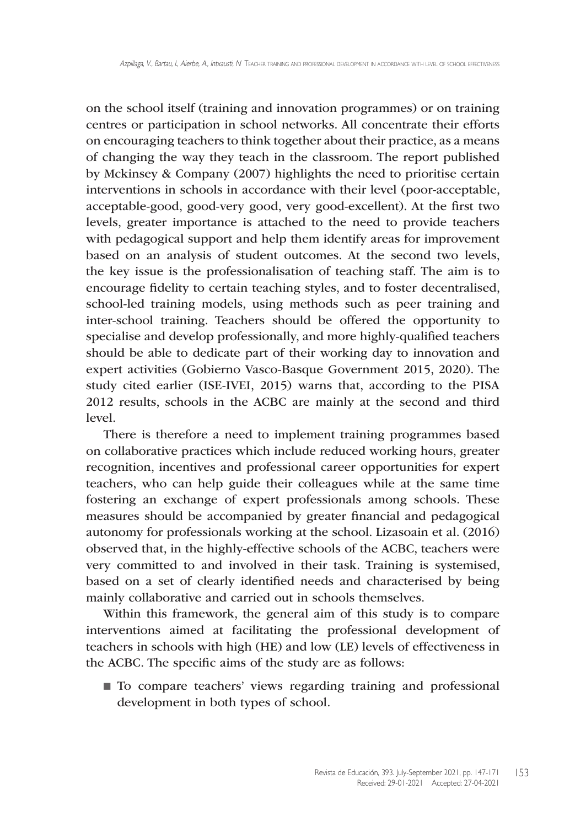on the school itself (training and innovation programmes) or on training centres or participation in school networks. All concentrate their efforts on encouraging teachers to think together about their practice, as a means of changing the way they teach in the classroom. The report published by Mckinsey & Company (2007) highlights the need to prioritise certain interventions in schools in accordance with their level (poor-acceptable, acceptable-good, good-very good, very good-excellent). At the first two levels, greater importance is attached to the need to provide teachers with pedagogical support and help them identify areas for improvement based on an analysis of student outcomes. At the second two levels, the key issue is the professionalisation of teaching staff. The aim is to encourage fidelity to certain teaching styles, and to foster decentralised, school-led training models, using methods such as peer training and inter-school training. Teachers should be offered the opportunity to specialise and develop professionally, and more highly-qualified teachers should be able to dedicate part of their working day to innovation and expert activities (Gobierno Vasco-Basque Government 2015, 2020). The study cited earlier (ISE-IVEI, 2015) warns that, according to the PISA 2012 results, schools in the ACBC are mainly at the second and third level.

There is therefore a need to implement training programmes based on collaborative practices which include reduced working hours, greater recognition, incentives and professional career opportunities for expert teachers, who can help guide their colleagues while at the same time fostering an exchange of expert professionals among schools. These measures should be accompanied by greater financial and pedagogical autonomy for professionals working at the school. Lizasoain et al. (2016) observed that, in the highly-effective schools of the ACBC, teachers were very committed to and involved in their task. Training is systemised, based on a set of clearly identified needs and characterised by being mainly collaborative and carried out in schools themselves.

Within this framework, the general aim of this study is to compare interventions aimed at facilitating the professional development of teachers in schools with high (HE) and low (LE) levels of effectiveness in the ACBC. The specific aims of the study are as follows:

■ To compare teachers' views regarding training and professional development in both types of school.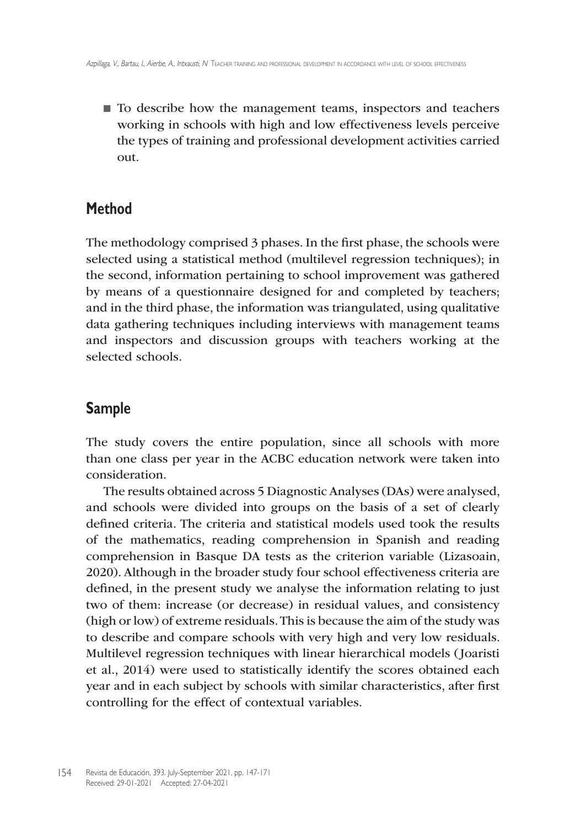■ To describe how the management teams, inspectors and teachers working in schools with high and low effectiveness levels perceive the types of training and professional development activities carried out.

## **Method**

The methodology comprised 3 phases. In the first phase, the schools were selected using a statistical method (multilevel regression techniques); in the second, information pertaining to school improvement was gathered by means of a questionnaire designed for and completed by teachers; and in the third phase, the information was triangulated, using qualitative data gathering techniques including interviews with management teams and inspectors and discussion groups with teachers working at the selected schools.

# **Sample**

The study covers the entire population, since all schools with more than one class per year in the ACBC education network were taken into consideration.

The results obtained across 5 Diagnostic Analyses (DAs) were analysed, and schools were divided into groups on the basis of a set of clearly defined criteria. The criteria and statistical models used took the results of the mathematics, reading comprehension in Spanish and reading comprehension in Basque DA tests as the criterion variable (Lizasoain, 2020). Although in the broader study four school effectiveness criteria are defined, in the present study we analyse the information relating to just two of them: increase (or decrease) in residual values, and consistency (high or low) of extreme residuals. This is because the aim of the study was to describe and compare schools with very high and very low residuals. Multilevel regression techniques with linear hierarchical models (Joaristi et al., 2014) were used to statistically identify the scores obtained each year and in each subject by schools with similar characteristics, after first controlling for the effect of contextual variables.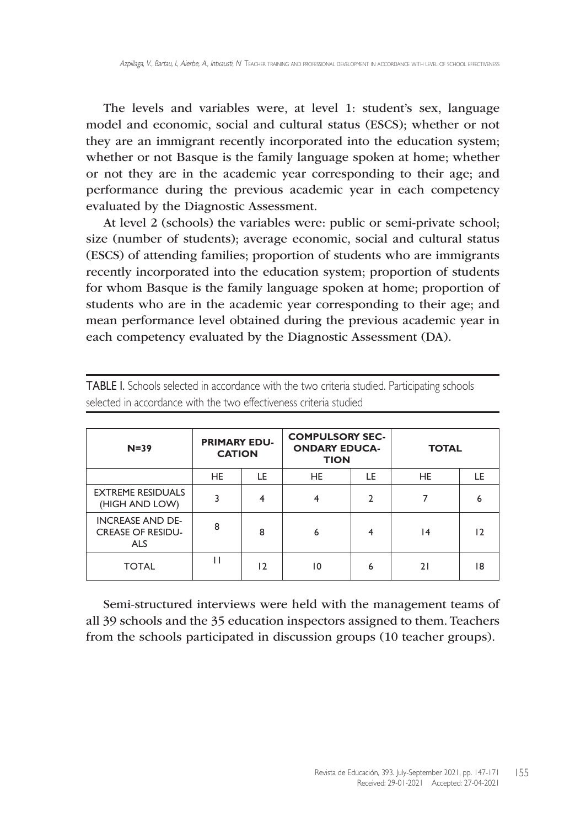The levels and variables were, at level 1: student's sex, language model and economic, social and cultural status (ESCS); whether or not they are an immigrant recently incorporated into the education system; whether or not Basque is the family language spoken at home; whether or not they are in the academic year corresponding to their age; and performance during the previous academic year in each competency evaluated by the Diagnostic Assessment.

At level 2 (schools) the variables were: public or semi-private school; size (number of students); average economic, social and cultural status (ESCS) of attending families; proportion of students who are immigrants recently incorporated into the education system; proportion of students for whom Basque is the family language spoken at home; proportion of students who are in the academic year corresponding to their age; and mean performance level obtained during the previous academic year in each competency evaluated by the Diagnostic Assessment (DA).

| $N=39$                                                            | <b>PRIMARY EDU-</b><br><b>CATION</b> |    | <b>COMPULSORY SEC-</b><br><b>ONDARY EDUCA-</b><br><b>TION</b> |    | <b>TOTAL</b> |     |
|-------------------------------------------------------------------|--------------------------------------|----|---------------------------------------------------------------|----|--------------|-----|
|                                                                   | <b>HE</b>                            | LE | HE.                                                           | LE | <b>HE</b>    | LE. |
| <b>EXTREME RESIDUALS</b><br>(HIGH AND LOW)                        |                                      | 4  |                                                               | າ  |              | h   |
| <b>INCREASE AND DE-</b><br><b>CREASE OF RESIDU-</b><br><b>ALS</b> | 8                                    | 8  | 6                                                             | 4  | 14           | 12  |
| <b>TOTAL</b>                                                      |                                      | 12 | 10                                                            | 6  | າ ເ          | 18  |

TABLE I. Schools selected in accordance with the two criteria studied. Participating schools selected in accordance with the two effectiveness criteria studied

Semi-structured interviews were held with the management teams of all 39 schools and the 35 education inspectors assigned to them. Teachers from the schools participated in discussion groups (10 teacher groups).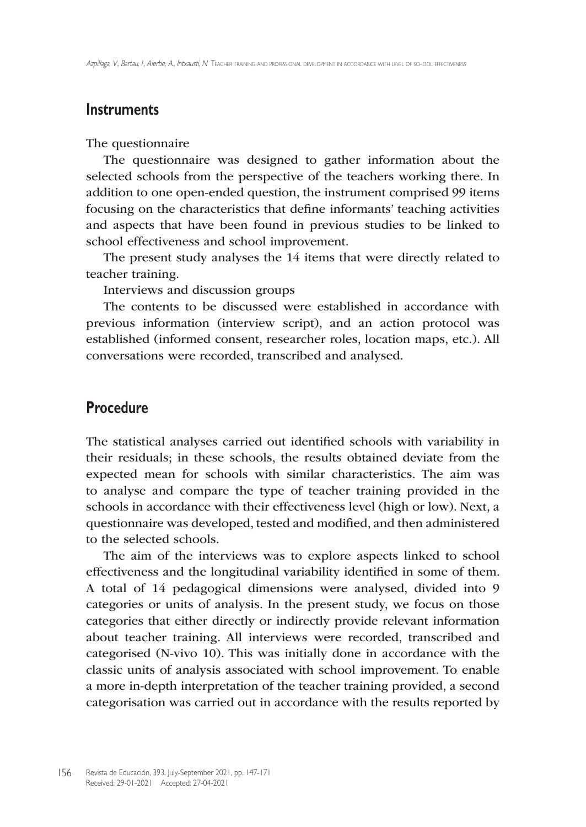### **Instruments**

#### The questionnaire

The questionnaire was designed to gather information about the selected schools from the perspective of the teachers working there. In addition to one open-ended question, the instrument comprised 99 items focusing on the characteristics that define informants' teaching activities and aspects that have been found in previous studies to be linked to school effectiveness and school improvement.

The present study analyses the 14 items that were directly related to teacher training.

Interviews and discussion groups

The contents to be discussed were established in accordance with previous information (interview script), and an action protocol was established (informed consent, researcher roles, location maps, etc.). All conversations were recorded, transcribed and analysed.

### **Procedure**

The statistical analyses carried out identified schools with variability in their residuals; in these schools, the results obtained deviate from the expected mean for schools with similar characteristics. The aim was to analyse and compare the type of teacher training provided in the schools in accordance with their effectiveness level (high or low). Next, a questionnaire was developed, tested and modified, and then administered to the selected schools.

The aim of the interviews was to explore aspects linked to school effectiveness and the longitudinal variability identified in some of them. A total of 14 pedagogical dimensions were analysed, divided into 9 categories or units of analysis. In the present study, we focus on those categories that either directly or indirectly provide relevant information about teacher training. All interviews were recorded, transcribed and categorised (N-vivo 10). This was initially done in accordance with the classic units of analysis associated with school improvement. To enable a more in-depth interpretation of the teacher training provided, a second categorisation was carried out in accordance with the results reported by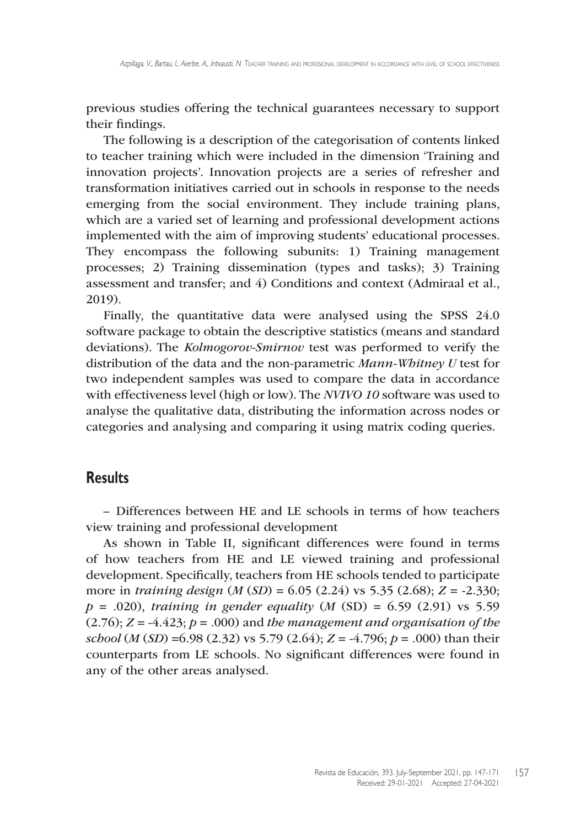previous studies offering the technical guarantees necessary to support their findings.

The following is a description of the categorisation of contents linked to teacher training which were included in the dimension 'Training and innovation projects'. Innovation projects are a series of refresher and transformation initiatives carried out in schools in response to the needs emerging from the social environment. They include training plans, which are a varied set of learning and professional development actions implemented with the aim of improving students' educational processes. They encompass the following subunits: 1) Training management processes; 2) Training dissemination (types and tasks); 3) Training assessment and transfer; and 4) Conditions and context (Admiraal et al., 2019).

Finally, the quantitative data were analysed using the SPSS 24.0 software package to obtain the descriptive statistics (means and standard deviations). The *Kolmogorov-Smirnov* test was performed to verify the distribution of the data and the non-parametric *Mann-Whitney U* test for two independent samples was used to compare the data in accordance with effectiveness level (high or low). The *NVIVO 10* software was used to analyse the qualitative data, distributing the information across nodes or categories and analysing and comparing it using matrix coding queries.

### **Results**

– Differences between HE and LE schools in terms of how teachers view training and professional development

As shown in Table II, significant differences were found in terms of how teachers from HE and LE viewed training and professional development. Specifically, teachers from HE schools tended to participate more in *training design* (*M* (*SD*) = 6.05 (2.24) vs 5.35 (2.68); *Z* = -2.330; *p* = .020), *training in gender equality* (*M* (SD) = 6.59 (2.91) vs 5.59  $(2.76)$ ;  $Z = -4.423$ ;  $p = .000$ ) and the management and organisation of the *school* (*M* (*SD*) =6.98 (2.32) vs 5.79 (2.64); *Z* = -4.796; *p* = .000) than their counterparts from LE schools. No significant differences were found in any of the other areas analysed.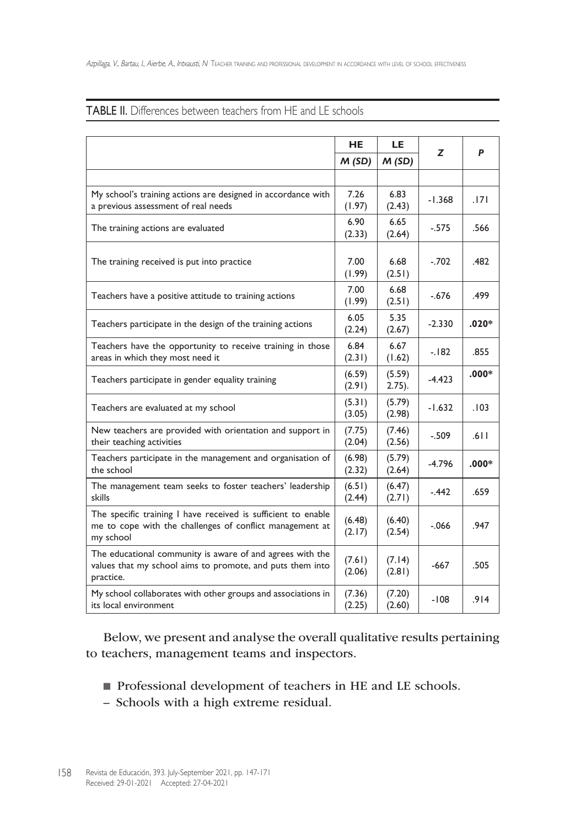|                                                                                                                                        | <b>HE</b>        | LE.                 | Z        | P       |
|----------------------------------------------------------------------------------------------------------------------------------------|------------------|---------------------|----------|---------|
|                                                                                                                                        | M(SD)            | M(SD)               |          |         |
|                                                                                                                                        |                  |                     |          |         |
| My school's training actions are designed in accordance with<br>a previous assessment of real needs                                    | 7.26<br>(1.97)   | 6.83<br>(2.43)      | $-1.368$ | .171    |
| The training actions are evaluated                                                                                                     | 6.90<br>(2.33)   | 6.65<br>(2.64)      | $-.575$  | .566    |
| The training received is put into practice                                                                                             |                  | 6.68<br>(2.51)      | $-.702$  | .482    |
| Teachers have a positive attitude to training actions                                                                                  | 7.00<br>(1.99)   | 6.68<br>(2.51)      | $-.676$  | .499    |
| Teachers participate in the design of the training actions                                                                             |                  | 5.35<br>(2.67)      | $-2.330$ | $.020*$ |
| Teachers have the opportunity to receive training in those<br>areas in which they most need it                                         | 6.84<br>(2.31)   | 6.67<br>(1.62)      | $-182$   | .855    |
| Teachers participate in gender equality training                                                                                       | (6.59)<br>(2.91) | (5.59)<br>$2.75$ ). | $-4.423$ | $.000*$ |
| Teachers are evaluated at my school                                                                                                    | (5.31)<br>(3.05) | (5.79)<br>(2.98)    | $-1.632$ | .103    |
| New teachers are provided with orientation and support in<br>their teaching activities                                                 | (7.75)<br>(2.04) | (7.46)<br>(2.56)    | $-.509$  | .611    |
| Teachers participate in the management and organisation of<br>the school                                                               | (6.98)<br>(2.32) | (5.79)<br>(2.64)    | $-4.796$ | $.000*$ |
| The management team seeks to foster teachers' leadership<br>skills                                                                     | (6.51)<br>(2.44) | (6.47)<br>(2.71)    | $-442$   | .659    |
| The specific training I have received is sufficient to enable<br>me to cope with the challenges of conflict management at<br>my school | (6.48)<br>(2.17) | (6.40)<br>(2.54)    | $-066$   | .947    |
| The educational community is aware of and agrees with the<br>values that my school aims to promote, and puts them into<br>practice.    | (7.61)<br>(2.06) | (7.14)<br>(2.81)    | -667     | .505    |
| My school collaborates with other groups and associations in<br>its local environment                                                  | (7.36)<br>(2.25) | (7.20)<br>(2.60)    | -108     | .914    |

#### TABLE II. Differences between teachers from HE and LE schools

Below, we present and analyse the overall qualitative results pertaining to teachers, management teams and inspectors.

- Professional development of teachers in HE and LE schools.
- Schools with a high extreme residual.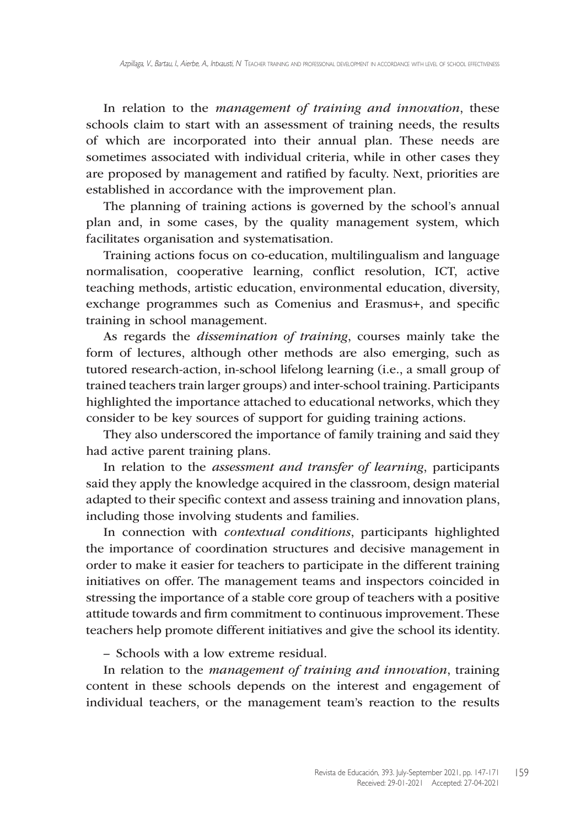In relation to the *management of training and innovation*, these schools claim to start with an assessment of training needs, the results of which are incorporated into their annual plan. These needs are sometimes associated with individual criteria, while in other cases they are proposed by management and ratified by faculty. Next, priorities are established in accordance with the improvement plan.

The planning of training actions is governed by the school's annual plan and, in some cases, by the quality management system, which facilitates organisation and systematisation.

Training actions focus on co-education, multilingualism and language normalisation, cooperative learning, conflict resolution, ICT, active teaching methods, artistic education, environmental education, diversity, exchange programmes such as Comenius and Erasmus+, and specific training in school management.

As regards the *dissemination of training*, courses mainly take the form of lectures, although other methods are also emerging, such as tutored research-action, in-school lifelong learning (i.e., a small group of trained teachers train larger groups) and inter-school training. Participants highlighted the importance attached to educational networks, which they consider to be key sources of support for guiding training actions.

They also underscored the importance of family training and said they had active parent training plans.

In relation to the *assessment and transfer of learning*, participants said they apply the knowledge acquired in the classroom, design material adapted to their specific context and assess training and innovation plans, including those involving students and families.

In connection with *contextual conditions*, participants highlighted the importance of coordination structures and decisive management in order to make it easier for teachers to participate in the different training initiatives on offer. The management teams and inspectors coincided in stressing the importance of a stable core group of teachers with a positive attitude towards and firm commitment to continuous improvement. These teachers help promote different initiatives and give the school its identity.

– Schools with a low extreme residual.

In relation to the *management of training and innovation*, training content in these schools depends on the interest and engagement of individual teachers, or the management team's reaction to the results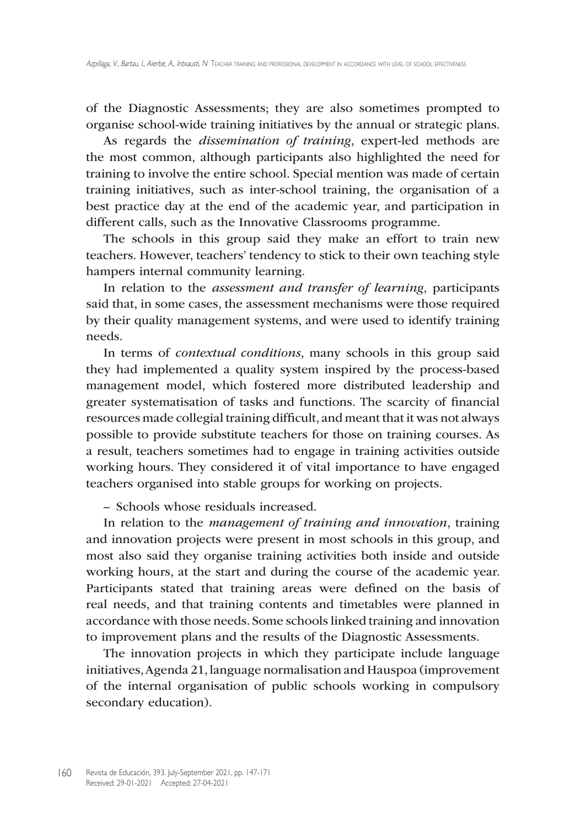of the Diagnostic Assessments; they are also sometimes prompted to organise school-wide training initiatives by the annual or strategic plans.

As regards the *dissemination of training*, expert-led methods are the most common, although participants also highlighted the need for training to involve the entire school. Special mention was made of certain training initiatives, such as inter-school training, the organisation of a best practice day at the end of the academic year, and participation in different calls, such as the Innovative Classrooms programme.

The schools in this group said they make an effort to train new teachers. However, teachers' tendency to stick to their own teaching style hampers internal community learning.

In relation to the *assessment and transfer of learning*, participants said that, in some cases, the assessment mechanisms were those required by their quality management systems, and were used to identify training needs.

In terms of *contextual conditions*, many schools in this group said they had implemented a quality system inspired by the process-based management model, which fostered more distributed leadership and greater systematisation of tasks and functions. The scarcity of financial resources made collegial training difficult, and meant that it was not always possible to provide substitute teachers for those on training courses. As a result, teachers sometimes had to engage in training activities outside working hours. They considered it of vital importance to have engaged teachers organised into stable groups for working on projects.

– Schools whose residuals increased.

In relation to the *management of training and innovation*, training and innovation projects were present in most schools in this group, and most also said they organise training activities both inside and outside working hours, at the start and during the course of the academic year. Participants stated that training areas were defined on the basis of real needs, and that training contents and timetables were planned in accordance with those needs. Some schools linked training and innovation to improvement plans and the results of the Diagnostic Assessments.

The innovation projects in which they participate include language initiatives, Agenda 21, language normalisation and Hauspoa (improvement of the internal organisation of public schools working in compulsory secondary education).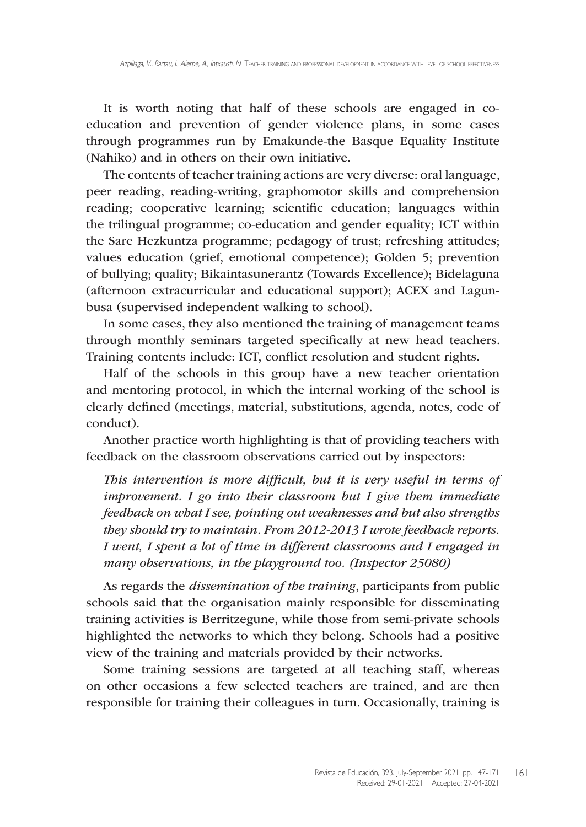It is worth noting that half of these schools are engaged in coeducation and prevention of gender violence plans, in some cases through programmes run by Emakunde-the Basque Equality Institute (Nahiko) and in others on their own initiative.

The contents of teacher training actions are very diverse: oral language, peer reading, reading-writing, graphomotor skills and comprehension reading; cooperative learning; scientific education; languages within the trilingual programme; co-education and gender equality; ICT within the Sare Hezkuntza programme; pedagogy of trust; refreshing attitudes; values education (grief, emotional competence); Golden 5; prevention of bullying; quality; Bikaintasunerantz (Towards Excellence); Bidelaguna (afternoon extracurricular and educational support); ACEX and Lagunbusa (supervised independent walking to school).

In some cases, they also mentioned the training of management teams through monthly seminars targeted specifically at new head teachers. Training contents include: ICT, conflict resolution and student rights.

Half of the schools in this group have a new teacher orientation and mentoring protocol, in which the internal working of the school is clearly defined (meetings, material, substitutions, agenda, notes, code of conduct).

Another practice worth highlighting is that of providing teachers with feedback on the classroom observations carried out by inspectors:

*This intervention is more difficult, but it is very useful in terms of improvement. I go into their classroom but I give them immediate feedback on what I see, pointing out weaknesses and but also strengths they should try to maintain. From 2012-2013 I wrote feedback reports. I went, I spent a lot of time in different classrooms and I engaged in many observations, in the playground too. (Inspector 25080)*

As regards the *dissemination of the training*, participants from public schools said that the organisation mainly responsible for disseminating training activities is Berritzegune, while those from semi-private schools highlighted the networks to which they belong. Schools had a positive view of the training and materials provided by their networks.

Some training sessions are targeted at all teaching staff, whereas on other occasions a few selected teachers are trained, and are then responsible for training their colleagues in turn. Occasionally, training is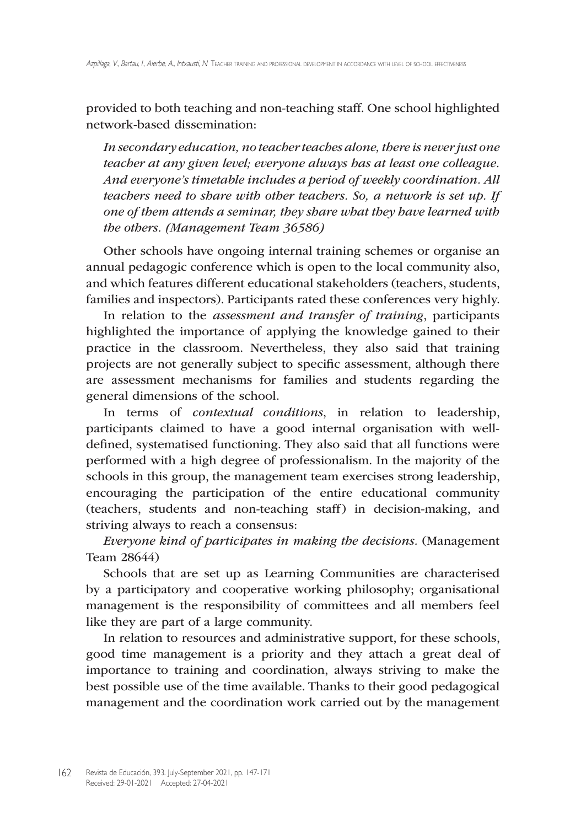provided to both teaching and non-teaching staff. One school highlighted network-based dissemination:

*In secondary education, no teacher teaches alone, there is never just one teacher at any given level; everyone always has at least one colleague. And everyone's timetable includes a period of weekly coordination. All teachers need to share with other teachers. So, a network is set up. If one of them attends a seminar, they share what they have learned with the others. (Management Team 36586)* 

Other schools have ongoing internal training schemes or organise an annual pedagogic conference which is open to the local community also, and which features different educational stakeholders (teachers, students, families and inspectors). Participants rated these conferences very highly.

In relation to the *assessment and transfer of training*, participants highlighted the importance of applying the knowledge gained to their practice in the classroom. Nevertheless, they also said that training projects are not generally subject to specific assessment, although there are assessment mechanisms for families and students regarding the general dimensions of the school.

In terms of *contextual conditions*, in relation to leadership, participants claimed to have a good internal organisation with welldefined, systematised functioning. They also said that all functions were performed with a high degree of professionalism. In the majority of the schools in this group, the management team exercises strong leadership, encouraging the participation of the entire educational community (teachers, students and non-teaching staff) in decision-making, and striving always to reach a consensus:

*Everyone kind of participates in making the decisions.* (Management Team 28644)

Schools that are set up as Learning Communities are characterised by a participatory and cooperative working philosophy; organisational management is the responsibility of committees and all members feel like they are part of a large community.

In relation to resources and administrative support, for these schools, good time management is a priority and they attach a great deal of importance to training and coordination, always striving to make the best possible use of the time available. Thanks to their good pedagogical management and the coordination work carried out by the management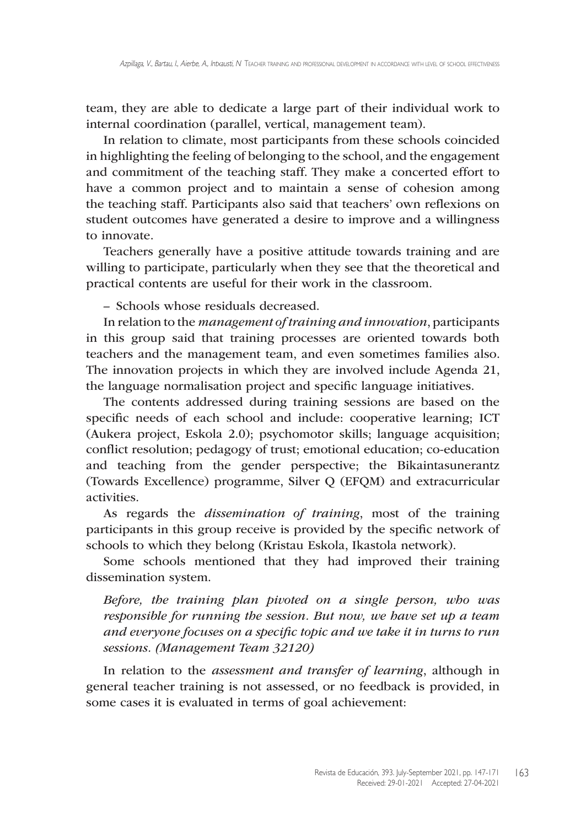team, they are able to dedicate a large part of their individual work to internal coordination (parallel, vertical, management team).

In relation to climate, most participants from these schools coincided in highlighting the feeling of belonging to the school, and the engagement and commitment of the teaching staff. They make a concerted effort to have a common project and to maintain a sense of cohesion among the teaching staff. Participants also said that teachers' own reflexions on student outcomes have generated a desire to improve and a willingness to innovate.

Teachers generally have a positive attitude towards training and are willing to participate, particularly when they see that the theoretical and practical contents are useful for their work in the classroom.

– Schools whose residuals decreased.

In relation to the *management of training and innovation*, participants in this group said that training processes are oriented towards both teachers and the management team, and even sometimes families also. The innovation projects in which they are involved include Agenda 21, the language normalisation project and specific language initiatives.

The contents addressed during training sessions are based on the specific needs of each school and include: cooperative learning; ICT (Aukera project, Eskola 2.0); psychomotor skills; language acquisition; conflict resolution; pedagogy of trust; emotional education; co-education and teaching from the gender perspective; the Bikaintasunerantz (Towards Excellence) programme, Silver Q (EFQM) and extracurricular activities.

As regards the *dissemination of training*, most of the training participants in this group receive is provided by the specific network of schools to which they belong (Kristau Eskola, Ikastola network).

Some schools mentioned that they had improved their training dissemination system.

*Before, the training plan pivoted on a single person, who was responsible for running the session. But now, we have set up a team and everyone focuses on a specific topic and we take it in turns to run sessions. (Management Team 32120)* 

In relation to the *assessment and transfer of learning*, although in general teacher training is not assessed, or no feedback is provided, in some cases it is evaluated in terms of goal achievement: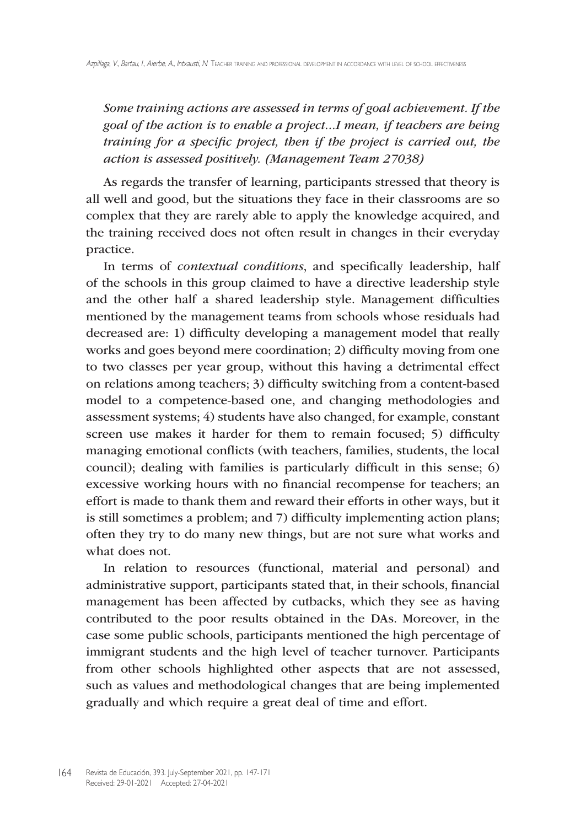*Some training actions are assessed in terms of goal achievement. If the goal of the action is to enable a project...I mean, if teachers are being training for a specific project, then if the project is carried out, the action is assessed positively. (Management Team 27038)*

As regards the transfer of learning, participants stressed that theory is all well and good, but the situations they face in their classrooms are so complex that they are rarely able to apply the knowledge acquired, and the training received does not often result in changes in their everyday practice.

In terms of *contextual conditions*, and specifically leadership, half of the schools in this group claimed to have a directive leadership style and the other half a shared leadership style. Management difficulties mentioned by the management teams from schools whose residuals had decreased are: 1) difficulty developing a management model that really works and goes beyond mere coordination; 2) difficulty moving from one to two classes per year group, without this having a detrimental effect on relations among teachers; 3) difficulty switching from a content-based model to a competence-based one, and changing methodologies and assessment systems; 4) students have also changed, for example, constant screen use makes it harder for them to remain focused; 5) difficulty managing emotional conflicts (with teachers, families, students, the local council); dealing with families is particularly difficult in this sense; 6) excessive working hours with no financial recompense for teachers; an effort is made to thank them and reward their efforts in other ways, but it is still sometimes a problem; and 7) difficulty implementing action plans; often they try to do many new things, but are not sure what works and what does not.

In relation to resources (functional, material and personal) and administrative support, participants stated that, in their schools, financial management has been affected by cutbacks, which they see as having contributed to the poor results obtained in the DAs. Moreover, in the case some public schools, participants mentioned the high percentage of immigrant students and the high level of teacher turnover. Participants from other schools highlighted other aspects that are not assessed, such as values and methodological changes that are being implemented gradually and which require a great deal of time and effort.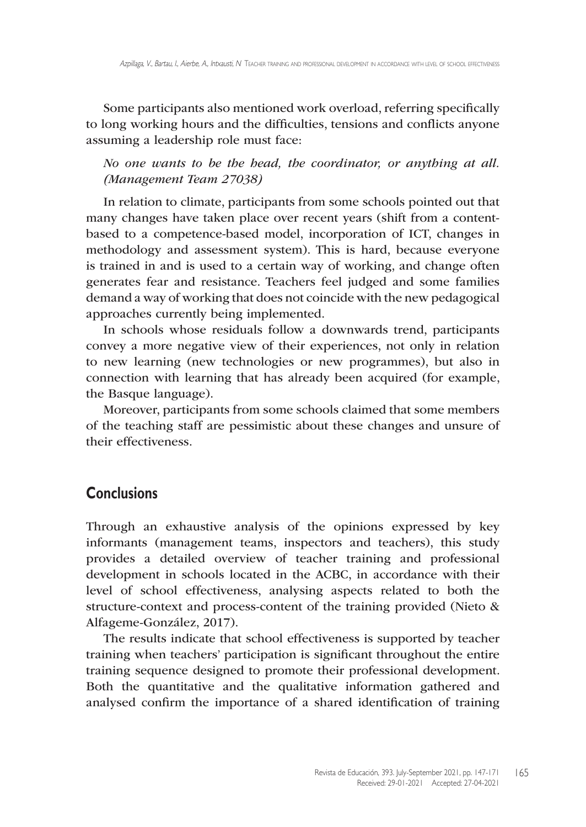Some participants also mentioned work overload, referring specifically to long working hours and the difficulties, tensions and conflicts anyone assuming a leadership role must face:

*No one wants to be the head, the coordinator, or anything at all. (Management Team 27038)*

In relation to climate, participants from some schools pointed out that many changes have taken place over recent years (shift from a contentbased to a competence-based model, incorporation of ICT, changes in methodology and assessment system). This is hard, because everyone is trained in and is used to a certain way of working, and change often generates fear and resistance. Teachers feel judged and some families demand a way of working that does not coincide with the new pedagogical approaches currently being implemented.

In schools whose residuals follow a downwards trend, participants convey a more negative view of their experiences, not only in relation to new learning (new technologies or new programmes), but also in connection with learning that has already been acquired (for example, the Basque language).

Moreover, participants from some schools claimed that some members of the teaching staff are pessimistic about these changes and unsure of their effectiveness.

# **Conclusions**

Through an exhaustive analysis of the opinions expressed by key informants (management teams, inspectors and teachers), this study provides a detailed overview of teacher training and professional development in schools located in the ACBC, in accordance with their level of school effectiveness, analysing aspects related to both the structure-context and process-content of the training provided (Nieto & Alfageme-González, 2017).

The results indicate that school effectiveness is supported by teacher training when teachers' participation is significant throughout the entire training sequence designed to promote their professional development. Both the quantitative and the qualitative information gathered and analysed confirm the importance of a shared identification of training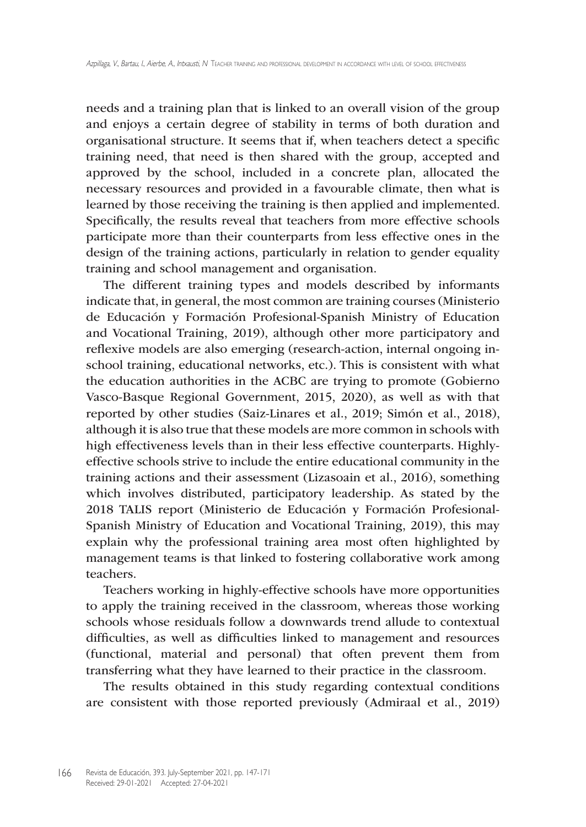needs and a training plan that is linked to an overall vision of the group and enjoys a certain degree of stability in terms of both duration and organisational structure. It seems that if, when teachers detect a specific training need, that need is then shared with the group, accepted and approved by the school, included in a concrete plan, allocated the necessary resources and provided in a favourable climate, then what is learned by those receiving the training is then applied and implemented. Specifically, the results reveal that teachers from more effective schools participate more than their counterparts from less effective ones in the design of the training actions, particularly in relation to gender equality training and school management and organisation.

The different training types and models described by informants indicate that, in general, the most common are training courses (Ministerio de Educación y Formación Profesional-Spanish Ministry of Education and Vocational Training, 2019), although other more participatory and reflexive models are also emerging (research-action, internal ongoing inschool training, educational networks, etc.). This is consistent with what the education authorities in the ACBC are trying to promote (Gobierno Vasco-Basque Regional Government, 2015, 2020), as well as with that reported by other studies (Saiz-Linares et al., 2019; Simón et al., 2018), although it is also true that these models are more common in schools with high effectiveness levels than in their less effective counterparts. Highlyeffective schools strive to include the entire educational community in the training actions and their assessment (Lizasoain et al., 2016), something which involves distributed, participatory leadership. As stated by the 2018 TALIS report (Ministerio de Educación y Formación Profesional-Spanish Ministry of Education and Vocational Training, 2019), this may explain why the professional training area most often highlighted by management teams is that linked to fostering collaborative work among teachers.

Teachers working in highly-effective schools have more opportunities to apply the training received in the classroom, whereas those working schools whose residuals follow a downwards trend allude to contextual difficulties, as well as difficulties linked to management and resources (functional, material and personal) that often prevent them from transferring what they have learned to their practice in the classroom.

The results obtained in this study regarding contextual conditions are consistent with those reported previously (Admiraal et al., 2019)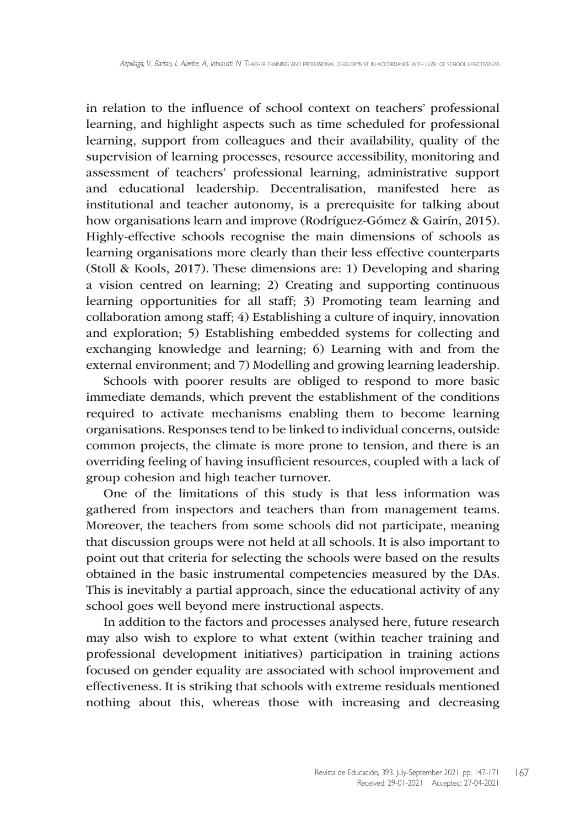in relation to the influence of school context on teachers' professional learning, and highlight aspects such as time scheduled for professional learning, support from colleagues and their availability, quality of the supervision of learning processes, resource accessibility, monitoring and assessment of teachers' professional learning, administrative support and educational leadership. Decentralisation, manifested here as institutional and teacher autonomy, is a prerequisite for talking about how organisations learn and improve (Rodríguez-Gómez & Gairín, 2015). Highly-effective schools recognise the main dimensions of schools as learning organisations more clearly than their less effective counterparts (Stoll & Kools, 2017). These dimensions are: 1) Developing and sharing a vision centred on learning; 2) Creating and supporting continuous learning opportunities for all staff; 3) Promoting team learning and collaboration among staff; 4) Establishing a culture of inquiry, innovation and exploration; 5) Establishing embedded systems for collecting and exchanging knowledge and learning; 6) Learning with and from the external environment; and 7) Modelling and growing learning leadership.

Schools with poorer results are obliged to respond to more basic immediate demands, which prevent the establishment of the conditions required to activate mechanisms enabling them to become learning organisations. Responses tend to be linked to individual concerns, outside common projects, the climate is more prone to tension, and there is an overriding feeling of having insufficient resources, coupled with a lack of group cohesion and high teacher turnover.

One of the limitations of this study is that less information was gathered from inspectors and teachers than from management teams. Moreover, the teachers from some schools did not participate, meaning that discussion groups were not held at all schools. It is also important to point out that criteria for selecting the schools were based on the results obtained in the basic instrumental competencies measured by the DAs. This is inevitably a partial approach, since the educational activity of any school goes well beyond mere instructional aspects.

In addition to the factors and processes analysed here, future research may also wish to explore to what extent (within teacher training and professional development initiatives) participation in training actions focused on gender equality are associated with school improvement and effectiveness. It is striking that schools with extreme residuals mentioned nothing about this, whereas those with increasing and decreasing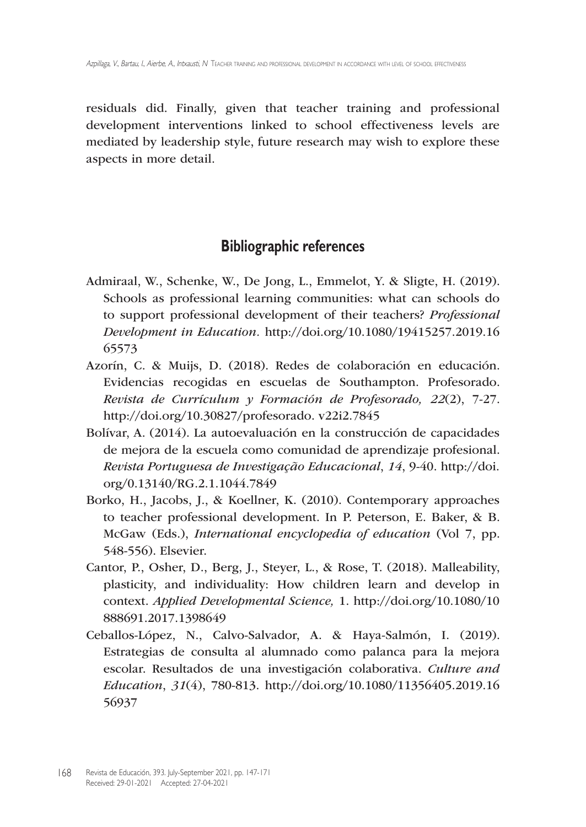residuals did. Finally, given that teacher training and professional development interventions linked to school effectiveness levels are mediated by leadership style, future research may wish to explore these aspects in more detail.

## **Bibliographic references**

- Admiraal, W., Schenke, W., De Jong, L., Emmelot, Y. & Sligte, H. (2019). Schools as professional learning communities: what can schools do to support professional development of their teachers? *Professional Development in Education.* http://doi.org/10.1080/19415257.2019.16 65573
- Azorín, C. & Muijs, D. (2018). Redes de colaboración en educación. Evidencias recogidas en escuelas de Southampton. Profesorado. *Revista de Currículum y Formación de Profesorado, 22*(2), 7-27. http://doi.org/10.30827/profesorado. v22i2.7845
- Bolívar, A. (2014). La autoevaluación en la construcción de capacidades de mejora de la escuela como comunidad de aprendizaje profesional. *Revista Portuguesa de Investigação Educacional*, *14*, 9-40. http://doi. org/0.13140/RG.2.1.1044.7849
- Borko, H., Jacobs, J., & Koellner, K. (2010). Contemporary approaches to teacher professional development. In P. Peterson, E. Baker, & B. McGaw (Eds.), *International encyclopedia of education* (Vol 7, pp. 548-556). Elsevier.
- Cantor, P., Osher, D., Berg, J., Steyer, L., & Rose, T. (2018). Malleability, plasticity, and individuality: How children learn and develop in context. *Applied Developmental Science,* 1. http://doi.org/10.1080/10 888691.2017.1398649
- Ceballos-López, N., Calvo-Salvador, A. & Haya-Salmón, I. (2019). Estrategias de consulta al alumnado como palanca para la mejora escolar. Resultados de una investigación colaborativa. *Culture and Education*, *31*(4), 780-813. http://doi.org/10.1080/11356405.2019.16 56937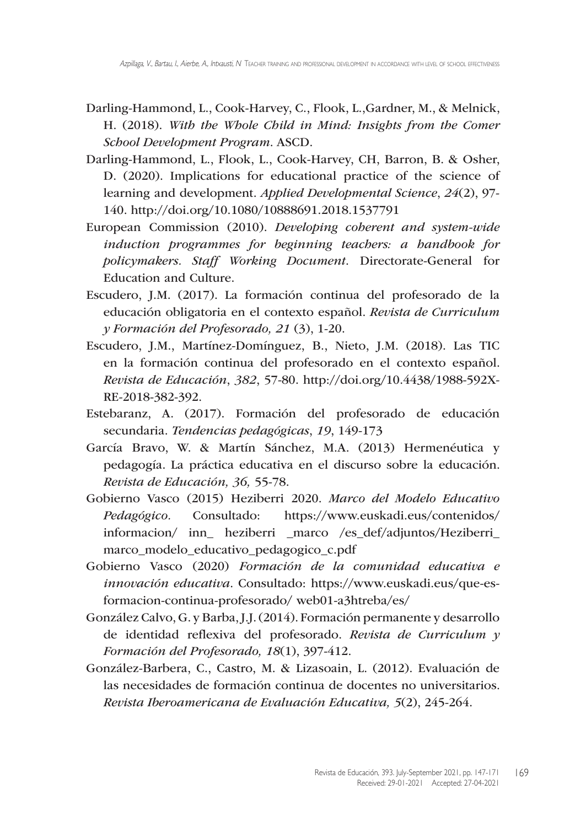- Darling-Hammond, L., Cook-Harvey, C., Flook, L.,Gardner, M., & Melnick, H. (2018). *With the Whole Child in Mind: Insights from the Comer School Development Program*. ASCD.
- Darling-Hammond, L., Flook, L., Cook-Harvey, CH, Barron, B. & Osher, D. (2020). Implications for educational practice of the science of learning and development. *Applied Developmental Science*, *24*(2), 97- 140. http://doi.org/10.1080/10888691.2018.1537791
- European Commission (2010). *Developing coherent and system-wide induction programmes for beginning teachers: a handbook for policymakers. Staff Working Document*. Directorate-General for Education and Culture.
- Escudero, J.M. (2017). La formación continua del profesorado de la educación obligatoria en el contexto español. *Revista de Curriculum y Formación del Profesorado, 21* (3), 1-20.
- Escudero, J.M., Martínez-Domínguez, B., Nieto, J.M. (2018). Las TIC en la formación continua del profesorado en el contexto español. *Revista de Educación*, *382*, 57-80. http://doi.org/10.4438/1988-592X-RE-2018-382-392.
- Estebaranz, A. (2017). Formación del profesorado de educación secundaria. *Tendencias pedagógicas*, *19*, 149-173
- García Bravo, W. & Martín Sánchez, M.A. (2013) Hermenéutica y pedagogía. La práctica educativa en el discurso sobre la educación. *Revista de Educación, 36,* 55-78.
- Gobierno Vasco (2015) Heziberri 2020. *Marco del Modelo Educativo Pedagógico.* Consultado: https://www.euskadi.eus/contenidos/ informacion/ inn\_ heziberri \_marco /es\_def/adjuntos/Heziberri\_ marco\_modelo\_educativo\_pedagogico\_c.pdf
- Gobierno Vasco (2020) *Formación de la comunidad educativa e innovación educativa*. Consultado: https://www.euskadi.eus/que-esformacion-continua-profesorado/ web01-a3htreba/es/
- González Calvo, G. y Barba, J.J. (2014). Formación permanente y desarrollo de identidad reflexiva del profesorado. *Revista de Curriculum y Formación del Profesorado, 18*(1), 397-412.
- González-Barbera, C., Castro, M. & Lizasoain, L. (2012). Evaluación de las necesidades de formación continua de docentes no universitarios. *Revista Iberoamericana de Evaluación Educativa, 5*(2), 245-264.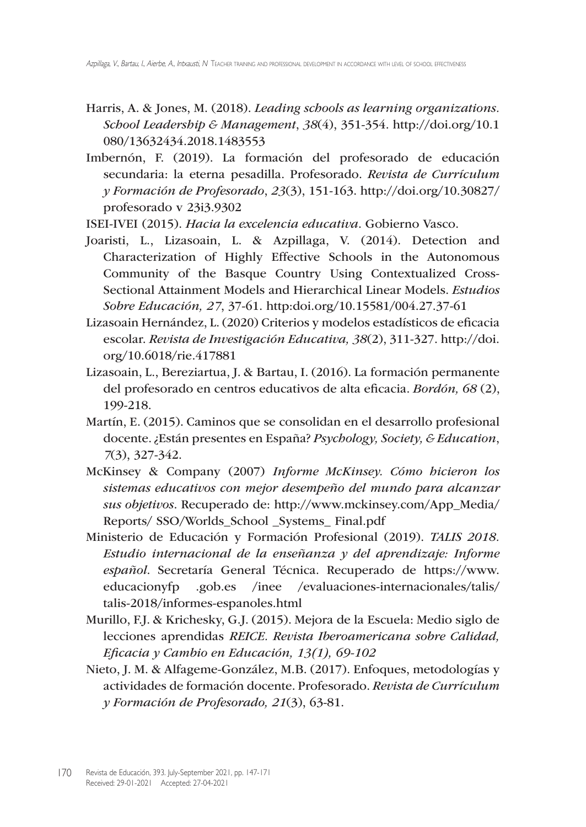- Harris, A. & Jones, M. (2018). *Leading schools as learning organizations. School Leadership & Management*, *38*(4), 351-354. http://doi.org/10.1 080/13632434.2018.1483553
- Imbernón, F. (2019). La formación del profesorado de educación secundaria: la eterna pesadilla. Profesorado. *Revista de Currículum y Formación de Profesorado*, *23*(3), 151-163. http://doi.org/10.30827/ profesorado v 23i3.9302

ISEI-IVEI (2015). *Hacia la excelencia educativa*. Gobierno Vasco.

- Joaristi, L., Lizasoain, L. & Azpillaga, V. (2014). Detection and Characterization of Highly Effective Schools in the Autonomous Community of the Basque Country Using Contextualized Cross-Sectional Attainment Models and Hierarchical Linear Models. *Estudios Sobre Educación, 27*, 37-61. http:doi.org/10.15581/004.27.37-61
- Lizasoain Hernández, L. (2020) Criterios y modelos estadísticos de eficacia escolar. *Revista de Investigación Educativa, 38*(2), 311-327. http://doi. org/10.6018/rie.417881
- Lizasoain, L., Bereziartua, J. & Bartau, I. (2016). La formación permanente del profesorado en centros educativos de alta eficacia. *Bordón, 68* (2), 199-218.
- Martín, E. (2015). Caminos que se consolidan en el desarrollo profesional docente. ¿Están presentes en España? *Psychology, Society, & Education*, *7*(3), 327-342.
- McKinsey & Company (2007) *Informe McKinsey. Cómo hicieron los sistemas educativos con mejor desempeño del mundo para alcanzar sus objetivos*. Recuperado de: http://www.mckinsey.com/App\_Media/ Reports/ SSO/Worlds\_School \_Systems\_ Final.pdf
- Ministerio de Educación y Formación Profesional (2019). *TALIS 2018. Estudio internacional de la enseñanza y del aprendizaje: Informe español*. Secretaría General Técnica. Recuperado de https://www. educacionyfp .gob.es /inee /evaluaciones-internacionales/talis/ talis-2018/informes-espanoles.html
- Murillo, F.J. & Krichesky, G.J. (2015). Mejora de la Escuela: Medio siglo de lecciones aprendidas *REICE. Revista Iberoamericana sobre Calidad, Eficacia y Cambio en Educación, 13(1), 69-102*
- Nieto, J. M. & Alfageme-González, M.B. (2017). Enfoques, metodologías y actividades de formación docente. Profesorado. *Revista de Currículum y Formación de Profesorado, 21*(3), 63-81.